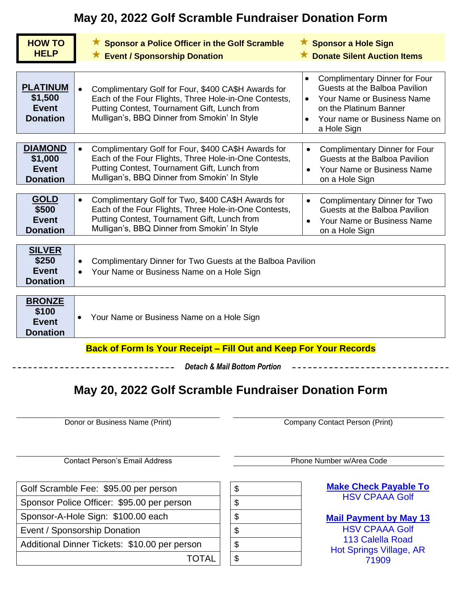## **May 20, 2022 Golf Scramble Fundraiser Donation Form**

| <b>HOW TO</b><br><b>HELP</b>                                             | ★ Sponsor a Police Officer in the Golf Scramble<br><b>Event / Sponsorship Donation</b><br>$\bigstar$                                                                                                                      | <b>★ Sponsor a Hole Sign</b><br><b>Donate Silent Auction Items</b>                                                                                                                                                   |
|--------------------------------------------------------------------------|---------------------------------------------------------------------------------------------------------------------------------------------------------------------------------------------------------------------------|----------------------------------------------------------------------------------------------------------------------------------------------------------------------------------------------------------------------|
| <b>PLATINUM</b><br>\$1,500<br><b>Event</b><br><b>Donation</b>            | Complimentary Golf for Four, \$400 CA\$H Awards for<br>Each of the Four Flights, Three Hole-in-One Contests,<br>Putting Contest, Tournament Gift, Lunch from<br>Mulligan's, BBQ Dinner from Smokin' In Style              | <b>Complimentary Dinner for Four</b><br>$\bullet$<br>Guests at the Balboa Pavilion<br>Your Name or Business Name<br>$\bullet$<br>on the Platinum Banner<br>Your name or Business Name on<br>$\bullet$<br>a Hole Sign |
| <b>DIAMOND</b><br>\$1,000<br><b>Event</b><br><b>Donation</b>             | Complimentary Golf for Four, \$400 CA\$H Awards for<br>$\bullet$<br>Each of the Four Flights, Three Hole-in-One Contests,<br>Putting Contest, Tournament Gift, Lunch from<br>Mulligan's, BBQ Dinner from Smokin' In Style | <b>Complimentary Dinner for Four</b><br>$\bullet$<br>Guests at the Balboa Pavilion<br>Your Name or Business Name<br>$\bullet$<br>on a Hole Sign                                                                      |
| <b>GOLD</b><br>\$500<br><b>Event</b><br><b>Donation</b>                  | Complimentary Golf for Two, \$400 CA\$H Awards for<br>Each of the Four Flights, Three Hole-in-One Contests,<br>Putting Contest, Tournament Gift, Lunch from<br>Mulligan's, BBQ Dinner from Smokin' In Style               | <b>Complimentary Dinner for Two</b><br>$\bullet$<br>Guests at the Balboa Pavilion<br>Your Name or Business Name<br>$\bullet$<br>on a Hole Sign                                                                       |
| <b>SILVER</b><br>\$250<br><b>Event</b><br><b>Donation</b>                | Complimentary Dinner for Two Guests at the Balboa Pavilion<br>Your Name or Business Name on a Hole Sign                                                                                                                   |                                                                                                                                                                                                                      |
| <b>BRONZE</b><br>\$100<br><b>Event</b><br><b>Donation</b>                | Your Name or Business Name on a Hole Sign<br>$\bullet$                                                                                                                                                                    |                                                                                                                                                                                                                      |
| <b>Back of Form Is Your Receipt - Fill Out and Keep For Your Records</b> |                                                                                                                                                                                                                           |                                                                                                                                                                                                                      |

*Detach & Mail Bottom Portion*

## **May 20, 2022 Golf Scramble Fundraiser Donation Form**

Contact Person's Email Address **Phone Number w/Area Code** 

Golf Scramble Fee: \$95.00 per person | | \$ Sponsor Police Officer: \$95.00 per person | | \$ Sponsor-A-Hole Sign: \$100.00 each | | \$ Event / Sponsorship Donation **\$1.45** 

Additional Dinner Tickets: \$10.00 per person | | \$

 $TOTAL$   $|$  \$

Donor or Business Name (Print) Company Contact Person (Print)

**Make Check Payable To** HSV CPAAA Golf

**Mail Payment by May 13**

HSV CPAAA Golf 113 Calella Road Hot Springs Village, AR 71909